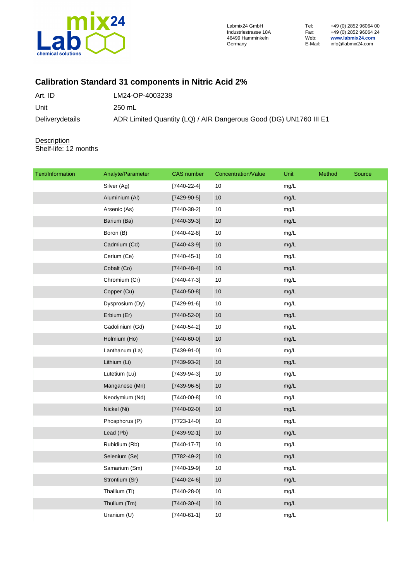

Labmix24 GmbH Tel: +49 (0) 2852 96064 00 Industriestrasse 18A Fax: +49 (0) 2852 96064 24 46499 Hamminkeln Web: **www.labmix24.com** Germany E-Mail: info@labmix24.com

## **Calibration Standard 31 components in Nitric Acid 2%**

| Art. ID         | LM24-OP-4003238                                                   |
|-----------------|-------------------------------------------------------------------|
| Unit            | 250 mL                                                            |
| Deliverydetails | ADR Limited Quantity (LQ) / AIR Dangerous Good (DG) UN1760 III E1 |

**Description** Shelf-life: 12 months

| Text/Information | Analyte/Parameter | <b>CAS</b> number | Concentration/Value | Unit | Method | Source |
|------------------|-------------------|-------------------|---------------------|------|--------|--------|
|                  | Silver (Ag)       | $[7440 - 22 - 4]$ | 10                  | mg/L |        |        |
|                  | Aluminium (Al)    | $[7429-90-5]$     | $10$                | mg/L |        |        |
|                  | Arsenic (As)      | $[7440-38-2]$     | 10                  | mg/L |        |        |
|                  | Barium (Ba)       | $[7440-39-3]$     | $10$                | mg/L |        |        |
|                  | Boron (B)         | $[7440 - 42 - 8]$ | $10$                | mg/L |        |        |
|                  | Cadmium (Cd)      | $[7440 - 43 - 9]$ | 10                  | mg/L |        |        |
|                  | Cerium (Ce)       | $[7440 - 45 - 1]$ | $10$                | mg/L |        |        |
|                  | Cobalt (Co)       | $[7440 - 48 - 4]$ | 10                  | mg/L |        |        |
|                  | Chromium (Cr)     | $[7440 - 47 - 3]$ | $10$                | mg/L |        |        |
|                  | Copper (Cu)       | $[7440 - 50 - 8]$ | $10$                | mg/L |        |        |
|                  | Dysprosium (Dy)   | $[7429-91-6]$     | 10                  | mg/L |        |        |
|                  | Erbium (Er)       | $[7440 - 52 - 0]$ | 10                  | mg/L |        |        |
|                  | Gadolinium (Gd)   | $[7440 - 54 - 2]$ | $10$                | mg/L |        |        |
|                  | Holmium (Ho)      | $[7440 - 60 - 0]$ | $10$                | mg/L |        |        |
|                  | Lanthanum (La)    | $[7439-91-0]$     | 10                  | mg/L |        |        |
|                  | Lithium (Li)      | $[7439-93-2]$     | $10$                | mg/L |        |        |
|                  | Lutetium (Lu)     | $[7439-94-3]$     | 10                  | mg/L |        |        |
|                  | Manganese (Mn)    | $[7439-96-5]$     | $10$                | mg/L |        |        |
|                  | Neodymium (Nd)    | $[7440 - 00 - 8]$ | $10$                | mg/L |        |        |
|                  | Nickel (Ni)       | $[7440 - 02 - 0]$ | 10                  | mg/L |        |        |
|                  | Phosphorus (P)    | $[7723 - 14 - 0]$ | 10                  | mg/L |        |        |
|                  | Lead (Pb)         | $[7439-92-1]$     | $10$                | mg/L |        |        |
|                  | Rubidium (Rb)     | $[7440-17-7]$     | $10$                | mg/L |        |        |
|                  | Selenium (Se)     | $[7782 - 49 - 2]$ | $10$                | mg/L |        |        |
|                  | Samarium (Sm)     | $[7440-19-9]$     | 10                  | mg/L |        |        |
|                  | Strontium (Sr)    | $[7440 - 24 - 6]$ | 10                  | mg/L |        |        |
|                  | Thallium (TI)     | $[7440-28-0]$     | 10                  | mg/L |        |        |
|                  | Thulium (Tm)      | $[7440-30-4]$     | 10                  | mg/L |        |        |
|                  | Uranium (U)       | $[7440-61-1]$     | 10                  | mg/L |        |        |